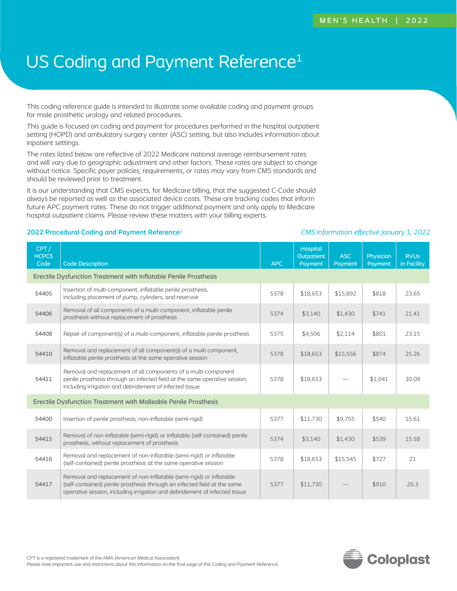# US Coding and Payment Reference<sup>1</sup>

This coding reference guide is intended to illustrate some available coding and payment groups for male prosthetic urology and related procedures.

This guide is focused on coding and payment for procedures performed in the hospital outpatient setting (HOPD) and ambulatory surgery center (ASC) setting, but also includes information about inpatient settings.

The rates listed below are reflective of 2022 Medicare national average reimbursement rates and will vary due to geographic adjustment and other factors. These rates are subject to change without notice. Specific payer policies, requirements, or rates may vary from CMS standards and should be reviewed prior to treatment.

It is our understanding that CMS expects, for Medicare billing, that the suggested C-Code should always be reported as well as the associated device costs. These are tracking codes that inform future APC payment rates. These do not trigger additional payment and only apply to Medicare hospital outpatient claims. Please review these matters with your billing experts.

### **2022 Procedural Coding and Payment Reference1** *CMS Information effective January 1, 2022*

| CPT/<br><b>HCPCS</b><br>Code                                    | <b>Code Description</b>                                                                                                                                                                                                        | <b>APC</b> | <b>Hospital</b><br>Outpatient<br>Payment | ASC<br>Payment | Physician<br>Payment | <b>RVU<sub>s</sub></b><br>in Facility |
|-----------------------------------------------------------------|--------------------------------------------------------------------------------------------------------------------------------------------------------------------------------------------------------------------------------|------------|------------------------------------------|----------------|----------------------|---------------------------------------|
|                                                                 | Erectile Dysfunction Treatment with Inflatable Penile Prosthesis                                                                                                                                                               |            |                                          |                |                      |                                       |
| 54405                                                           | Insertion of multi-component, inflatable penile prosthesis,<br>including placement of pump, cylinders, and reservoir                                                                                                           |            | \$18,653                                 | \$15,892       | \$818                | 23.65                                 |
| 54406                                                           | Removal of all components of a multi-component, inflatable penile<br>prosthesis without replacement of prosthesis                                                                                                              | 5374       | \$3,140                                  | \$1,430        | \$741                | 21.41                                 |
| 54408                                                           | Repair of component(s) of a multi-component, inflatable penile prosthesis                                                                                                                                                      | 5375       | \$4,506                                  | \$2,114        | \$801                | 23.15                                 |
| 54410                                                           | Removal and replacement of all component(s) of a multi component,<br>inflatable penile prosthesis at the same operative session                                                                                                | 5378       | \$18,653                                 | \$15,556       | \$874                | 25.26                                 |
| 54411                                                           | Removal and replacement of all components of a multi-component<br>penile prosthesis through an infected field at the same operative session,<br>including irrigation and debridement of infected tissue                        | 5378       | \$18,653                                 |                | \$1,041              | 30.09                                 |
| Erectile Dysfunction Treatment with Malleable Penile Prosthesis |                                                                                                                                                                                                                                |            |                                          |                |                      |                                       |
| 54400                                                           | Insertion of penile prosthesis; non-inflatable (semi-rigid)                                                                                                                                                                    | 5377       | \$11,730                                 | \$9,755        | \$540                | 15.61                                 |
| 54415                                                           | Removal of non-inflatable (semi-rigid) or inflatable (self-contained) penile<br>prosthesis, without replacement of prosthesis                                                                                                  | 5374       | \$3,140                                  | \$1,430        | \$539                | 15.58                                 |
| 54416                                                           | Removal and replacement of non-inflatable (semi-rigid) or inflatable<br>(self-contained) penile prosthesis at the same operative session                                                                                       | 5378       | \$18,653                                 | \$15,545       | \$727                | 21                                    |
| 54417                                                           | Removal and replacement of non-inflatable (semi-rigid) or inflatable<br>(self-contained) penile prosthesis through an infected field at the same<br>operative session, including irrigation and debridement of infected tissue | 5377       | \$11,730                                 |                | \$910                | 26.3                                  |

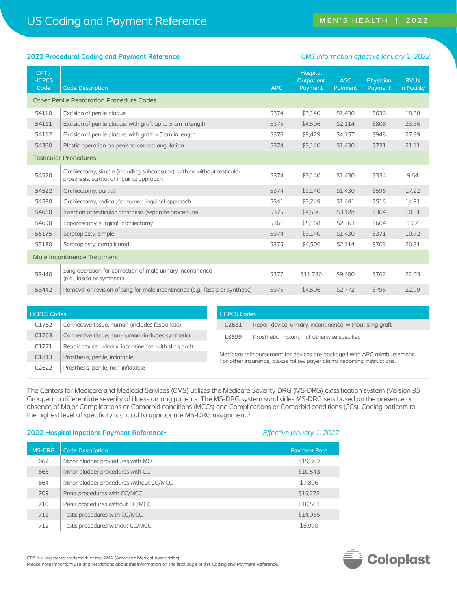### **2022 Procedural Coding and Payment Reference** *CMS Information effective January 1, 2022*

| CPT/<br><b>HCPCS</b><br>Code | <b>Code Description</b>                                                                                             | <b>APC</b> | Hospital<br>Outpatient<br>Payment | <b>ASC</b><br>Payment | Physician<br>Payment | <b>RVU<sub>s</sub></b><br>in Facility |
|------------------------------|---------------------------------------------------------------------------------------------------------------------|------------|-----------------------------------|-----------------------|----------------------|---------------------------------------|
|                              | <b>Other Penile Restoration Procedure Codes</b>                                                                     |            |                                   |                       |                      |                                       |
| 54110                        | Excision of penile plaque                                                                                           | 5374       | \$3,140                           | \$1,430               | \$636                | 18.38                                 |
| 54111                        | Excision of penile plaque; with graft up to 5 cm in length                                                          | 5375       | \$4,506                           | \$2,114               | \$808                | 23.36                                 |
| 54112                        | Excision of penile plaque; with $q$ raft $>$ 5 cm in length                                                         | 5376       | \$8,429                           | \$4,157               | \$948                | 27.39                                 |
| 54360                        | Plastic operation on penis to correct angulation                                                                    | 5374       | \$3,140                           | \$1,430               | \$731                | 21.11                                 |
|                              | <b>Testicular Procedures</b>                                                                                        |            |                                   |                       |                      |                                       |
| 54520                        | Orchiectomy, simple (including subcapsular), with or without testicular<br>prosthesis, scrotal or inquinal approach | 5374       | \$3,140                           | \$1,430               | \$334                | 9.64                                  |
| 54522                        | Orchiectomy, partial                                                                                                | 5374       | \$3,140                           | \$1,430               | \$596                | 17.22                                 |
| 54530                        | Orchiectomy, radical, for tumor; inquinal approach                                                                  | 5341       | \$3,249                           | \$1,441               | \$516                | 14.91                                 |
| 54660                        | Insertion of testicular prosthesis (separate procedure)                                                             | 5375       | \$4,506                           | \$3,128               | \$364                | 10.51                                 |
| 54690                        | Laparoscopy, surgical; orchiectomy                                                                                  | 5361       | \$5,168                           | \$2,363               | \$664                | 19.2                                  |
| 55175                        | Scrotoplasty; simple                                                                                                | 5374       | \$3,140                           | \$1,430               | \$371                | 10.72                                 |
| 55180                        | Scrotoplasty; complicated                                                                                           | 5375       | \$4,506                           | \$2,114               | \$703                | 20.31                                 |
| Male Incontinence Treatment  |                                                                                                                     |            |                                   |                       |                      |                                       |
| 53440                        | Sling operation for correction of male urinary incontinence<br>(e.g., fascia or synthetic)                          |            | \$11,730                          | \$9,480               | \$762                | 22.03                                 |
| 53442                        | Removal or revision of sling for male incontinence (e.g., fascia or synthetic)                                      | 5375       | \$4,506                           | \$2,772               | \$796                | 22.99                                 |

| <b>HCPCS Codes</b> |                                                        |                                                                                                                                                    | <b>HCPCS Codes</b> |                                                           |  |  |
|--------------------|--------------------------------------------------------|----------------------------------------------------------------------------------------------------------------------------------------------------|--------------------|-----------------------------------------------------------|--|--|
| C1762              | Connective tissue, human (includes fascia lata)        |                                                                                                                                                    | C2631              | Repair device, urniary, incontinence, without sling graft |  |  |
| C1763              | Connective tissue, non-human (includes synthetic)      |                                                                                                                                                    | L8699              | Prosthetic implant, not otherwise specified               |  |  |
| C1771              | Repair device, urinary, incontinence, with sling graft |                                                                                                                                                    |                    |                                                           |  |  |
| C1813              | Prosthesis, penile, inflatable                         | Medicare reimbursement for devices are packaged with APC reimbursement.<br>For other insurance, please follow payer claims reporting instructions. |                    |                                                           |  |  |
| C <sub>2622</sub>  | Prosthesis, penile, non-inflatable                     |                                                                                                                                                    |                    |                                                           |  |  |

The Centers for Medicare and Medicaid Services (CMS) utilizes the Medicare Severity DRG (MS-DRG) classification system (Version 35 Grouper) to differentiate severity of illness among patients. The MS-DRG system subdivides MS-DRG sets based on the presence or absence of Major Complications or Comorbid conditions (MCCs) and Complications or Comorbid conditions (CCs). Coding patients to the highest level of specificity is critical to appropriate MS-DRG assignment.<sup>1</sup>

### **2022 Hospital Inpatient Payment Reference1** *Effective January 1, 2022*

| <b>MS-DRG</b> | <b>Code Description</b>                 | <b>Payment Rate</b> |
|---------------|-----------------------------------------|---------------------|
| 662           | Minor bladder procedures with MCC       | \$19,369            |
| 663           | Minor bladder procedures with CC        | \$10,548            |
| 664           | Minor bladder procedures without CC/MCC | \$7,806             |
| 709           | Penis procedures with CC/MCC            | \$15,272            |
| 710           | Penis procedures without CC/MCC         | \$10,561            |
| 711           | Testis procedures with CC/MCC           | \$14,056            |
| 712           | Testis procedures without CC/MCC        | \$6,990             |

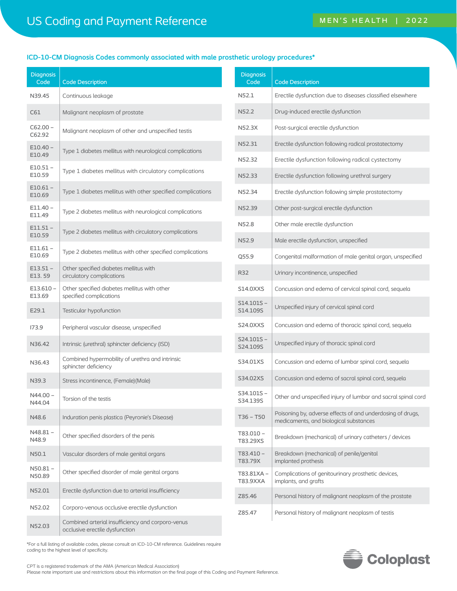# **ICD-10-CM Diagnosis Codes commonly associated with male prosthetic urology procedures\***

| <b>Diagnosis</b><br>Code | <b>Code Description</b>                                                             |  | <b>Diagnosis</b><br>Code |
|--------------------------|-------------------------------------------------------------------------------------|--|--------------------------|
| N39.45                   | Continuous leakage                                                                  |  | N52.1                    |
| C61                      | Malignant neoplasm of prostate                                                      |  | N52.2                    |
| C62.00 -<br>C62.92       | Malignant neoplasm of other and unspecified testis                                  |  | N52.3X                   |
| E10.40 -<br>E10.49       | Type 1 diabetes mellitus with neurological complications                            |  | N52.31                   |
| E10.51 -<br>E10.59       | Type 1 diabetes mellitus with circulatory complications                             |  | N52.32<br>N52.33         |
| E10.61 -<br>E10.69       | Type 1 diabetes mellitus with other specified complications                         |  | N52.34                   |
| E11.40 -<br>E11.49       | Type 2 diabetes mellitus with neurological complications                            |  | N52.39                   |
| $E11.51 -$<br>E10.59     | Type 2 diabetes mellitus with circulatory complications                             |  | N52.8                    |
| E11.61 -<br>E10.69       | Type 2 diabetes mellitus with other specified complications                         |  | N52.9<br>Q55.9           |
| $E13.51 -$<br>E13.59     | Other specified diabetes mellitus with<br>circulatory complications                 |  | <b>R32</b>               |
| E13.610 -<br>E13.69      | Other specified diabetes mellitus with other<br>specified complications             |  | S14.0XXS                 |
| E29.1                    | Testicular hypofunction                                                             |  | S14.101S-<br>S14.109S    |
| 173.9                    | Peripheral vascular disease, unspecified                                            |  | S24.0XXS                 |
| N36.42                   | Intrinsic (urethral) sphincter deficiency (ISD)                                     |  | $S24.101S -$<br>S24.109S |
| N36.43                   | Combined hypermobility of urethra and intrinsic<br>sphincter deficiency             |  | S34.01XS                 |
| N39.3                    | Stress incontinence, (Female) (Male)                                                |  | S34.02XS                 |
| N44.00 -<br>N44.04       | Torsion of the testis                                                               |  | S34.101S-<br>S34.139S    |
| N48.6                    | Induration penis plastica (Peyronie's Disease)                                      |  | $T36 - T50$              |
| N48.81 –<br>N48.9        | Other specified disorders of the penis                                              |  | T83.010-<br>T83.29XS     |
| N50.1                    | Vascular disorders of male genital organs                                           |  | T83.410-<br>T83.79X      |
| N50.81 -<br>N50.89       | Other specified disorder of male genital organs                                     |  | T83.81XA-<br>T83.9XXA    |
| N52.01                   | Erectile dysfunction due to arterial insufficiency                                  |  | Z85.46                   |
| N52.02                   | Corporo-venous occlusive erectile dysfunction                                       |  | Z85.47                   |
| N52.03                   | Combined arterial insufficiency and corporo-venus<br>occlusive erectile dysfunction |  |                          |

| <b>Diagnosis</b><br>Code | <b>Code Description</b>                                                                              |
|--------------------------|------------------------------------------------------------------------------------------------------|
| N52.1                    | Erectile dysfunction due to diseases classified elsewhere                                            |
| N52.2                    | Drug-induced erectile dysfunction                                                                    |
| N52.3X                   | Post-surgical erectile dysfunction                                                                   |
| N52.31                   | Erectile dysfunction following radical prostatectomy                                                 |
| N52.32                   | Erectile dysfunction following radical cystectomy                                                    |
| N52.33                   | Erectile dysfunction following urethral surgery                                                      |
| N52.34                   | Erectile dysfunction following simple prostatectomy                                                  |
| N52.39                   | Other post-surgical erectile dysfunction                                                             |
| N52.8                    | Other male erectile dysfunction                                                                      |
| N52.9                    | Male erectile dysfunction, unspecified                                                               |
| Q55.9                    | Congenital malformation of male genital organ, unspecified                                           |
| R32                      | Urinary incontinence, unspecified                                                                    |
| S14.0XXS                 | Concussion and edema of cervical spinal cord, sequela                                                |
| $S14.101S -$<br>S14.109S | Unspecified injury of cervical spinal cord                                                           |
| S24.0XXS                 | Concussion and edema of thoracic spinal cord, sequela                                                |
| S24.101S –<br>S24.109S   | Unspecified injury of thoracic spinal cord                                                           |
| S34.01XS                 | Concussion and edema of lumbar spinal cord, sequela                                                  |
| S34.02XS                 | Concussion and edema of sacral spinal cord, sequela                                                  |
| S34.101S –<br>S34.139S   | Other and unspecified injury of lumbar and sacral spinal cord                                        |
| T36 – T50                | Poisoning by, adverse effects of and underdosing of drugs,<br>medicaments, and biological substances |
| T83.010 -<br>T83.29XS    | Breakdown (mechanical) of urinary catheters / devices                                                |
| T83.410-<br>T83.79X      | Breakdown (mechanical) of penile/genital<br>implanted prothesis                                      |
| T83.81XA –<br>T83.9XXA   | Complications of genitourinary prosthetic devices,<br>implants, and grafts                           |
| Z85.46                   | Personal history of malignant neoplasm of the prostate                                               |
| Z85.47                   | Personal history of malignant neoplasm of testis                                                     |

Coloplast

\*For a full listing of available codes, please consult an ICD-10-CM reference. Guidelines require coding to the highest level of specificity.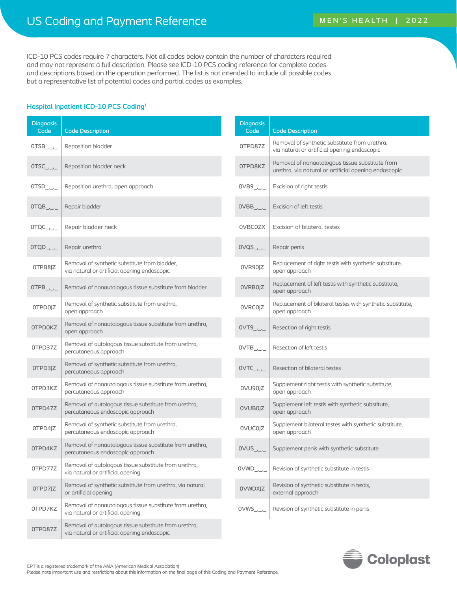ICD-10 PCS codes require 7 characters. Not all codes below contain the number of characters required and may not represent a full description. Please see ICD-10 PCS coding reference for complete codes and descriptions based on the operation performed. The list is not intended to include all possible codes but a representative list of potential codes and partial codes as examples.

## **Hospital Inpatient ICD-10 PCS Coding1**

| <b>Diagnosis</b><br>Code | <b>Code Description</b>                                                                               | <b>Diagnosis</b><br>Code                 | <b>Code Description</b>                                                                                  |
|--------------------------|-------------------------------------------------------------------------------------------------------|------------------------------------------|----------------------------------------------------------------------------------------------------------|
| $OTSB$ _____             | Reposition bladder                                                                                    | OTPD87Z                                  | Removal of synthetic substitute from urethra,<br>via natural or artificial opening endoscopic            |
| $OTSC$ _,_,_             | Reposition bladder neck                                                                               | 0TPD8KZ                                  | Removal of nonautologous tissue substitute from<br>urethra, via natural or artificial opening endoscopic |
| $OTSD$ _____             | Reposition urethra, open approach                                                                     | $OVB9$ <sub>_/_/_</sub>                  | Excision of right testis                                                                                 |
| $OTQB$ <sub>_/_/_</sub>  | Repair bladder                                                                                        | $OVBB$ <sub>_/_/_</sub>                  | Excision of left testis                                                                                  |
| $OTQC$ ______            | Repair bladder neck                                                                                   | 0VBC0ZX                                  | Excision of bilateral testes                                                                             |
| $OTQD$ _____             | Repair urethra                                                                                        | $OVQS$ <sub>_,_,</sub> _,                | Repair penis                                                                                             |
| OTPB8JZ                  | Removal of synthetic substitute from bladder,<br>via natural or artificial opening endoscopic         | 0VR90JZ                                  | Replacement of right testis with synthetic substitute,<br>open approach                                  |
|                          | Removal of nonautologous tissue substitute from bladder                                               | 0VRB0JZ                                  | Replacement of left testis with synthetic substitute,<br>open approach                                   |
| 0TPD0JZ                  | Removal of synthetic substitute from urethra,<br>open approach                                        | 0VRC0JZ                                  | Replacement of bilateral testes with synthetic substitute,<br>open approach                              |
| <b>OTPDOKZ</b>           | Removal of nonautologous tissue substitute from urethra,<br>open approach                             | $0VT9$ <sub>_/_/_</sub>                  | Resection of right testis                                                                                |
| OTPD37Z                  | Removal of autologous tissue substitute from urethra,<br>percutaneous approach                        | $OVTB$ <sub>_/_/_</sub>                  | Resection of left testis                                                                                 |
| OTPD3JZ                  | Removal of synthetic substitute from urethra,<br>percutaneous approach                                | $OVTC$ <sub>_/_/_</sub>                  | Resection of bilateral testes                                                                            |
| 0TPD3KZ                  | Removal of nonautologous tissue substitute from urethra,<br>percutaneous approach                     | 0VU90JZ                                  | Supplement right testis with synthetic substitute,<br>open approach                                      |
| OTPD47Z                  | Removal of autologous tissue substitute from urethra,<br>percutaneous endoscopic approach             | 0VUB0JZ                                  | Supplement left testis with synthetic substitute,<br>open approach                                       |
| 0TPD4JZ                  | Removal of synthetic substitute from urethra,<br>percutaneous endoscopic approach                     | 0VUC0JZ                                  | Supplement bilateral testes with synthetic substitute,<br>open approach                                  |
| 0TPD4KZ                  | Removal of nonautologous tissue substitute from urethra,<br>percutaneous endoscopic approach          |                                          | Supplement penis with synthetic substitute                                                               |
| OTPD77Z                  | Removal of autologous tissue substitute from urethra,<br>via natural or artificial opening            | $OVWD_{\_\_\_\_\_\_\_\_\_$               | Revision of synthetic substitute in testis                                                               |
| OTPD7JZ                  | Removal of synthetic substitute from urethra, via natural<br>or artificial opening                    | <b>OVWDXJZ</b>                           | Revision of synthetic substitute in testis,<br>external approach                                         |
| OTPD7KZ                  | Removal of nonautologous tissue substitute from urethra,<br>via natural or artificial opening         | $\mathsf{OVWS}_{\_\prime\_\_\prime\_\_}$ | Revision of synthetic substitute in penis                                                                |
| OTPD87Z                  | Removal of autologous tissue substitute from urethra,<br>via natural or artificial opening endoscopic |                                          |                                                                                                          |